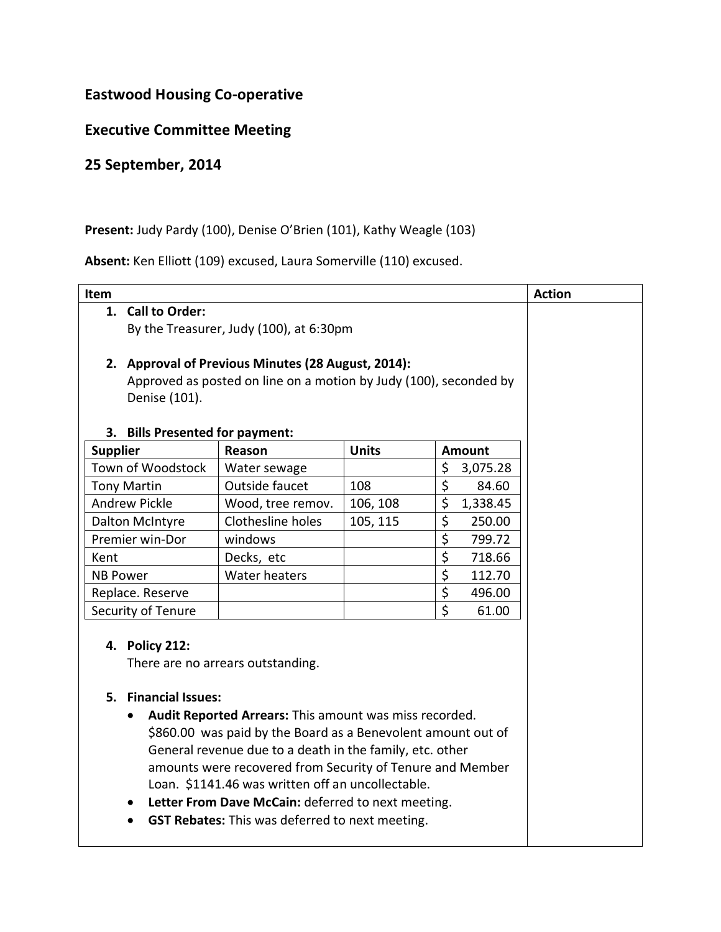## **Eastwood Housing Co-operative**

## **Executive Committee Meeting**

## **25 September, 2014**

## Present: Judy Pardy (100), Denise O'Brien (101), Kathy Weagle (103)

**Absent:** Ken Elliott (109) excused, Laura Somerville (110) excused.

| Item                                                                                                                                                                                                                                                                                                                                                                                                                                                                                                             |                   |              |                                  | <b>Action</b> |
|------------------------------------------------------------------------------------------------------------------------------------------------------------------------------------------------------------------------------------------------------------------------------------------------------------------------------------------------------------------------------------------------------------------------------------------------------------------------------------------------------------------|-------------------|--------------|----------------------------------|---------------|
| 1. Call to Order:                                                                                                                                                                                                                                                                                                                                                                                                                                                                                                |                   |              |                                  |               |
| By the Treasurer, Judy (100), at 6:30pm                                                                                                                                                                                                                                                                                                                                                                                                                                                                          |                   |              |                                  |               |
|                                                                                                                                                                                                                                                                                                                                                                                                                                                                                                                  |                   |              |                                  |               |
| 2. Approval of Previous Minutes (28 August, 2014):                                                                                                                                                                                                                                                                                                                                                                                                                                                               |                   |              |                                  |               |
| Approved as posted on line on a motion by Judy (100), seconded by                                                                                                                                                                                                                                                                                                                                                                                                                                                |                   |              |                                  |               |
| Denise (101).                                                                                                                                                                                                                                                                                                                                                                                                                                                                                                    |                   |              |                                  |               |
|                                                                                                                                                                                                                                                                                                                                                                                                                                                                                                                  |                   |              |                                  |               |
| <b>Bills Presented for payment:</b><br>3.                                                                                                                                                                                                                                                                                                                                                                                                                                                                        |                   |              |                                  |               |
| <b>Supplier</b>                                                                                                                                                                                                                                                                                                                                                                                                                                                                                                  | Reason            | <b>Units</b> | <b>Amount</b>                    |               |
| Town of Woodstock                                                                                                                                                                                                                                                                                                                                                                                                                                                                                                | Water sewage      |              | \$<br>3,075.28                   |               |
| <b>Tony Martin</b>                                                                                                                                                                                                                                                                                                                                                                                                                                                                                               | Outside faucet    | 108          | \$<br>84.60                      |               |
| <b>Andrew Pickle</b>                                                                                                                                                                                                                                                                                                                                                                                                                                                                                             | Wood, tree remov. | 106, 108     | \$<br>1,338.45                   |               |
| Dalton McIntyre                                                                                                                                                                                                                                                                                                                                                                                                                                                                                                  | Clothesline holes | 105, 115     | \$<br>250.00                     |               |
| Premier win-Dor                                                                                                                                                                                                                                                                                                                                                                                                                                                                                                  | windows           |              | $\overline{\xi}$<br>799.72       |               |
| Kent                                                                                                                                                                                                                                                                                                                                                                                                                                                                                                             | Decks, etc        |              | \$<br>718.66                     |               |
| <b>NB Power</b>                                                                                                                                                                                                                                                                                                                                                                                                                                                                                                  | Water heaters     |              | \$<br>112.70                     |               |
| Replace. Reserve                                                                                                                                                                                                                                                                                                                                                                                                                                                                                                 |                   |              | $\overline{\varsigma}$<br>496.00 |               |
| Security of Tenure                                                                                                                                                                                                                                                                                                                                                                                                                                                                                               |                   |              | $\zeta$<br>61.00                 |               |
| 4. Policy 212:<br>There are no arrears outstanding.<br>5. Financial Issues:<br>Audit Reported Arrears: This amount was miss recorded.<br>$\bullet$<br>\$860.00 was paid by the Board as a Benevolent amount out of<br>General revenue due to a death in the family, etc. other<br>amounts were recovered from Security of Tenure and Member<br>Loan. \$1141.46 was written off an uncollectable.<br>Letter From Dave McCain: deferred to next meeting.<br><b>GST Rebates:</b> This was deferred to next meeting. |                   |              |                                  |               |